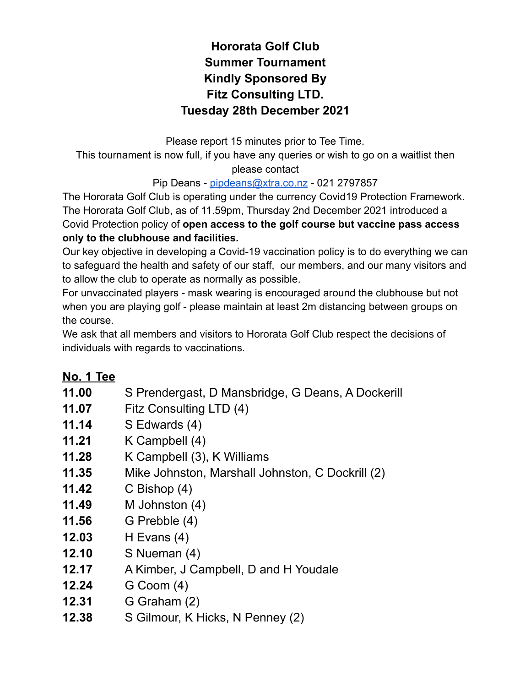## **Hororata Golf Club Summer Tournament Kindly Sponsored By Fitz Consulting LTD. Tuesday 28th December 2021**

Please report 15 minutes prior to Tee Time. This tournament is now full, if you have any queries or wish to go on a waitlist then please contact

## Pip Deans - [pipdeans@xtra.co.nz](mailto:pipdeans@xtra.co.nz) - 021 2797857

The Hororata Golf Club is operating under the currency Covid19 Protection Framework. The Hororata Golf Club, as of 11.59pm, Thursday 2nd December 2021 introduced a Covid Protection policy of **open access to the golf course but vaccine pass access only to the clubhouse and facilities.**

Our key objective in developing a Covid-19 vaccination policy is to do everything we can to safeguard the health and safety of our staff, our members, and our many visitors and to allow the club to operate as normally as possible.

For unvaccinated players - mask wearing is encouraged around the clubhouse but not when you are playing golf - please maintain at least 2m distancing between groups on the course.

We ask that all members and visitors to Hororata Golf Club respect the decisions of individuals with regards to vaccinations.

## **No. 1 Tee**

- **11.00** S Prendergast, D Mansbridge, G Deans, A Dockerill
- **11.07** Fitz Consulting LTD (4)
- **11.14** S Edwards (4)
- **11.21** K Campbell (4)
- **11.28** K Campbell (3), K Williams
- **11.35** Mike Johnston, Marshall Johnston, C Dockrill (2)
- **11.42** C Bishop (4)
- **11.49** M Johnston (4)
- **11.56** G Prebble (4)
- **12.03** H Evans (4)
- **12.10** S Nueman (4)
- **12.17** A Kimber, J Campbell, D and H Youdale
- **12.24** G Coom (4)
- **12.31** G Graham (2)
- **12.38** S Gilmour, K Hicks, N Penney (2)